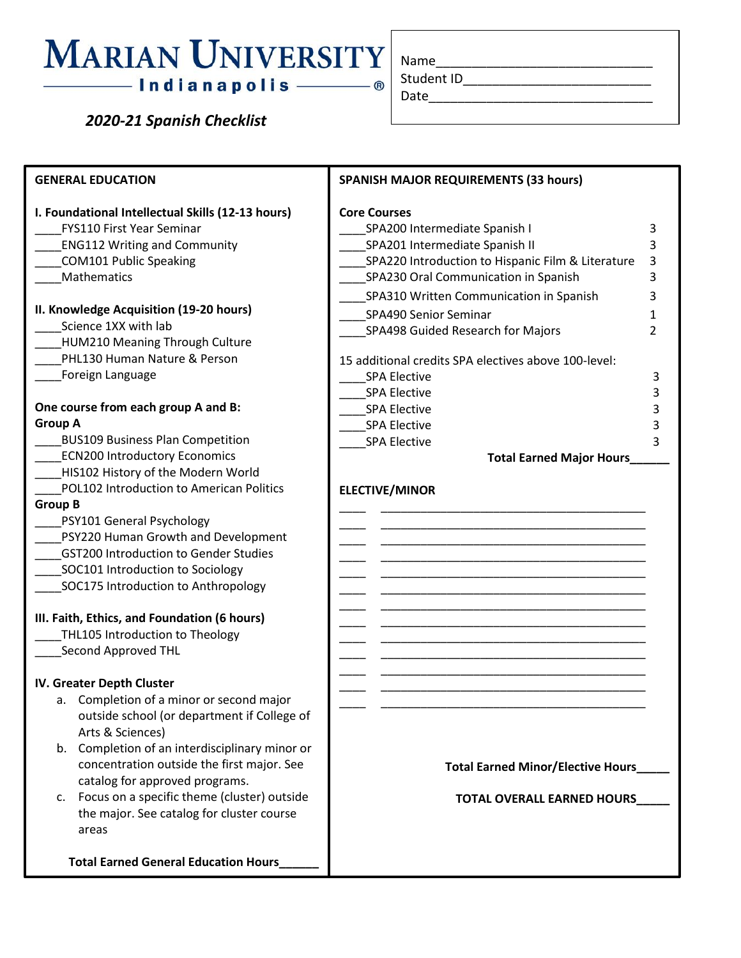## **MARIAN UNIVERSITY** — Indianapolis ——

 *2020-21 Spanish Checklist*

| Name       |  |  |
|------------|--|--|
| Student ID |  |  |

Date\_\_\_\_\_\_\_\_\_\_\_\_\_\_\_\_\_\_\_\_\_\_\_\_\_\_\_\_\_\_\_

**GENERAL EDUCATION I. Foundational Intellectual Skills (12-13 hours)** \_\_\_\_FYS110 First Year Seminar \_\_\_\_ENG112 Writing and Community \_\_\_\_COM101 Public Speaking \_\_\_\_Mathematics **II. Knowledge Acquisition (19-20 hours)** \_\_\_\_Science 1XX with lab HUM210 Meaning Through Culture PHL130 Human Nature & Person \_\_\_\_Foreign Language **One course from each group A and B: Group A** \_\_\_\_BUS109 Business Plan Competition ECN200 Introductory Economics HIS102 History of the Modern World \_\_\_\_POL102 Introduction to American Politics **Group B** \_\_\_\_PSY101 General Psychology \_\_\_\_PSY220 Human Growth and Development \_\_\_\_GST200 Introduction to Gender Studies SOC101 Introduction to Sociology SOC175 Introduction to Anthropology **III. Faith, Ethics, and Foundation (6 hours)** THL105 Introduction to Theology \_\_\_\_Second Approved THL **IV. Greater Depth Cluster** a. Completion of a minor or second major outside school (or department if College of Arts & Sciences) b. Completion of an interdisciplinary minor or concentration outside the first major. See catalog for approved programs. c. Focus on a specific theme (cluster) outside the major. See catalog for cluster course areas  **Total Earned General Education Hours\_\_\_\_\_\_ SPANISH MAJOR REQUIREMENTS (33 hours) Core Courses** SPA200 Intermediate Spanish I 3 \_\_\_\_SPA201 Intermediate Spanish II 3 SPA220 Introduction to Hispanic Film & Literature 3 \_\_\_\_SPA230 Oral Communication in Spanish 3 \_\_\_\_SPA310 Written Communication in Spanish 3 \_\_\_\_SPA490 Senior Seminar 1 \_\_\_\_SPA498 Guided Research for Majors 2 15 additional credits SPA electives above 100-level: \_\_\_\_SPA Elective 3 spa Elective 3 \_\_\_\_SPA Elective 3 spa Elective 3 \_\_\_\_SPA Elective 3 **Total Earned Major Hours\_\_\_\_\_\_ ELECTIVE/MINOR** \_\_\_\_ \_\_\_\_\_\_\_\_\_\_\_\_\_\_\_\_\_\_\_\_\_\_\_\_\_\_\_\_\_\_\_\_\_\_\_\_\_\_\_\_ \_\_\_\_ \_\_\_\_\_\_\_\_\_\_\_\_\_\_\_\_\_\_\_\_\_\_\_\_\_\_\_\_\_\_\_\_\_\_\_\_\_\_\_\_ \_\_\_\_ \_\_\_\_\_\_\_\_\_\_\_\_\_\_\_\_\_\_\_\_\_\_\_\_\_\_\_\_\_\_\_\_\_\_\_\_\_\_\_\_ \_\_\_\_ \_\_\_\_\_\_\_\_\_\_\_\_\_\_\_\_\_\_\_\_\_\_\_\_\_\_\_\_\_\_\_\_\_\_\_\_\_\_\_\_ \_\_\_\_ \_\_\_\_\_\_\_\_\_\_\_\_\_\_\_\_\_\_\_\_\_\_\_\_\_\_\_\_\_\_\_\_\_\_\_\_\_\_\_\_ \_\_\_\_ \_\_\_\_\_\_\_\_\_\_\_\_\_\_\_\_\_\_\_\_\_\_\_\_\_\_\_\_\_\_\_\_\_\_\_\_\_\_\_\_ \_\_\_\_ \_\_\_\_\_\_\_\_\_\_\_\_\_\_\_\_\_\_\_\_\_\_\_\_\_\_\_\_\_\_\_\_\_\_\_\_\_\_\_\_ \_\_\_\_ \_\_\_\_\_\_\_\_\_\_\_\_\_\_\_\_\_\_\_\_\_\_\_\_\_\_\_\_\_\_\_\_\_\_\_\_\_\_\_\_ \_\_\_\_ \_\_\_\_\_\_\_\_\_\_\_\_\_\_\_\_\_\_\_\_\_\_\_\_\_\_\_\_\_\_\_\_\_\_\_\_\_\_\_\_ \_\_\_\_ \_\_\_\_\_\_\_\_\_\_\_\_\_\_\_\_\_\_\_\_\_\_\_\_\_\_\_\_\_\_\_\_\_\_\_\_\_\_\_\_ \_\_\_\_ \_\_\_\_\_\_\_\_\_\_\_\_\_\_\_\_\_\_\_\_\_\_\_\_\_\_\_\_\_\_\_\_\_\_\_\_\_\_\_\_ \_\_\_\_ \_\_\_\_\_\_\_\_\_\_\_\_\_\_\_\_\_\_\_\_\_\_\_\_\_\_\_\_\_\_\_\_\_\_\_\_\_\_\_\_ \_\_\_\_ \_\_\_\_\_\_\_\_\_\_\_\_\_\_\_\_\_\_\_\_\_\_\_\_\_\_\_\_\_\_\_\_\_\_\_\_\_\_\_\_ **Total Earned Minor/Elective Hours\_\_\_\_\_ TOTAL OVERALL EARNED HOURS\_\_\_\_\_**